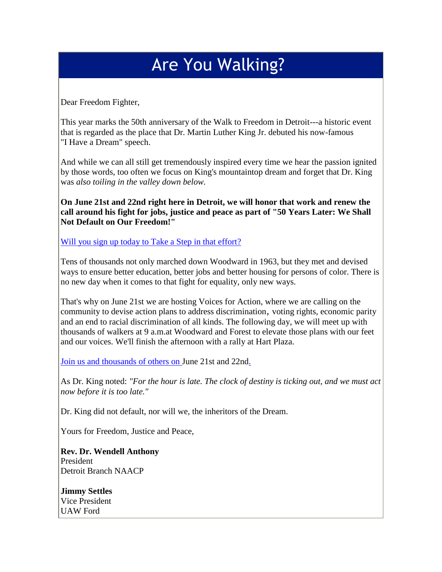## Are You Walking?

Dear Freedom Fighter,

This year marks the 50th anniversary of the Walk to Freedom in Detroit---a historic event that is regarded as the place that Dr. Martin Luther King Jr. debuted his now-famous "I Have a Dream" speech.

And while we can all still get tremendously inspired every time we hear the passion ignited by those words, too often we focus on King's mountaintop dream and forget that Dr. King was *also toiling in the valley down below.*

**On June 21st and 22nd right here in Detroit, we will honor that work and renew the call around his fight for jobs, justice and peace as part of "50 Years Later: We Shall Not Default on Our Freedom!"**

[Will you sign up today to Take a Step in that effort?](http://r20.rs6.net/tn.jsp?e=001yWjhpmm5n0ndnRD5SEqSsDEQriP69r13kHlV_Yo2CHiSDLlKT-tyj4lRzBTwnBTXqu5nccA6imzqVVjKNHq29VUtHOU8R0Qzk4DTM-Hj-Pu7N6CUQaADHhsjQ9l2B3H_nlhzz6P8LOFtfHfcjAK7pQ==)

Tens of thousands not only marched down Woodward in 1963, but they met and devised ways to ensure better education, better jobs and better housing for persons of color. There is no new day when it comes to that fight for equality, only new ways.

That's why on June 21st we are hosting Voices for Action, where we are calling on the community to devise action plans to address discrimination, voting rights, economic parity and an end to racial discrimination of all kinds. The following day, we will meet up with thousands of walkers at 9 a.m.at Woodward and Forest to elevate those plans with our feet and our voices. We'll finish the afternoon with a rally at Hart Plaza.

[Join us and thousands of others on](http://r20.rs6.net/tn.jsp?e=001yWjhpmm5n0ndnRD5SEqSsDEQriP69r13kHlV_Yo2CHiSDLlKT-tyj4lRzBTwnBTXqu5nccA6imzqVVjKNHq29VUtHOU8R0Qzk4DTM-Hj-Pu7N6CUQaADHhsjQ9l2B3H_nlhzz6P8LOFtfHfcjAK7pQ==) June 21st and 22nd.

As Dr. King noted: *"For the hour is late. The clock of destiny is ticking out, and we must act now before it is too late."*

Dr. King did not default, nor will we, the inheritors of the Dream.

Yours for Freedom, Justice and Peace,

**Rev. Dr. Wendell Anthony**  President Detroit Branch NAACP

**Jimmy Settles** Vice President UAW Ford